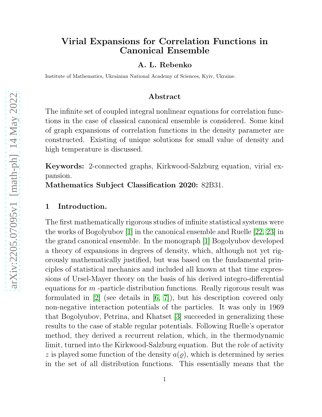# Virial Expansions for Correlation Functions in Canonical Ensemble

### A. L. Rebenko

Institute of Mathematics, Ukrainian National Academy of Sciences, Kyiv, Ukraine.

### Abstract

The infinite set of coupled integral nonlinear equations for correlation functions in the case of classical canonical ensemble is considered. Some kind of graph expansions of correlation functions in the density parameter are constructed. Existing of unique solutions for small value of density and high temperature is discussed.

Keywords: 2-connected graphs, Kirkwood-Salzburg equation, virial expansion.

Mathematics Subject Classification 2020: 82B31.

## 1 Introduction.

The first mathematically rigorous studies of infinite statistical systems were the works of Bogolyubov [\[1\]](#page-12-0) in the canonical ensemble and Ruelle [\[22,](#page-13-0) [23\]](#page-13-1) in the grand canonical ensemble. In the monograph [\[1\]](#page-12-0) Bogolyubov developed a theory of expansions in degrees of density, which, although not yet rigorously mathematically justified, but was based on the fundamental principles of statistical mechanics and included all known at that time expressions of Ursel-Mayer theory on the basis of his derived integro-differential equations for  $m$  -particle distribution functions. Really rigorous result was formulated in [\[2\]](#page-12-1) (see details in [\[6,](#page-12-2) [7\]](#page-13-2)), but his description covered only non-negative interaction potentials of the particles. It was only in 1969 that Bogolyubov, Petrina, and Khatset [\[3\]](#page-12-3) succeeded in generalizing these results to the case of stable regular potentials. Following Ruelle's operator method, they derived a recurrent relation, which, in the thermodynamic limit, turned into the Kirkwood-Salzburg equation. But the role of activity z is played some function of the density  $a(\rho)$ , which is determined by series in the set of all distribution functions. This essentially means that the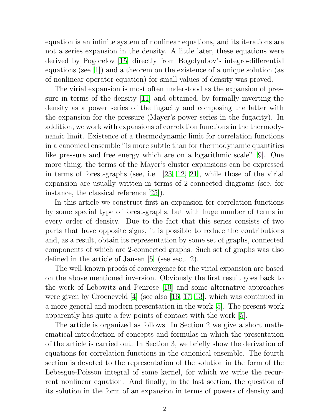equation is an infinite system of nonlinear equations, and its iterations are not a series expansion in the density. A little later, these equations were derived by Pogorelov [\[15\]](#page-13-3) directly from Bogolyubov's integro-differential equations (see [\[1\]](#page-12-0)) and a theorem on the existence of a unique solution (as of nonlinear operator equation) for small values of density was proved.

The virial expansion is most often understood as the expansion of pressure in terms of the density [\[11\]](#page-13-4) and obtained, by formally inverting the density as a power series of the fugacity and composing the latter with the expansion for the pressure (Mayer's power series in the fugacity). In addition, we work with expansions of correlation functions in the thermodynamic limit. Existence of a thermodynamic limit for correlation functions in a canonical ensemble "is more subtle than for thermodynamic quantities like pressure and free energy which are on a logarithmic scale" [\[9\]](#page-13-5). One more thing, the terms of the Mayer's cluster expansions can be expressed in terms of forest-graphs (see, i.e. [\[23,](#page-13-1) [12,](#page-13-6) [21\]](#page-13-7), while those of the virial expansion are usually written in terms of 2-connected diagrams (see, for instance, the classical reference [\[25\]](#page-13-8)).

In this article we construct first an expansion for correlation functions by some special type of forest-graphs, but with huge number of terms in every order of density. Due to the fact that this series consists of two parts that have opposite signs, it is possible to reduce the contributions and, as a result, obtain its representation by some set of graphs, connected components of which are 2-connected graphs. Such set of graphs was also defined in the article of Jansen [\[5\]](#page-12-4) (see sect. 2).

The well-known proofs of convergence for the virial expansion are based on the above mentioned inversion. Obviously the first result goes back to the work of Lebowitz and Penrose [\[10\]](#page-13-9) and some alternative approaches were given by Groeneveld  $|4|$  (see also [\[16,](#page-13-10) [17,](#page-13-11) [13\]](#page-13-12), which was continued in a more general and modern presentation in the work [\[5\]](#page-12-4). The present work apparently has quite a few points of contact with the work [\[5\]](#page-12-4).

The article is organized as follows. In Section 2 we give a short mathematical introduction of concepts and formulas in which the presentation of the article is carried out. In Section 3, we briefly show the derivation of equations for correlation functions in the canonical ensemble. The fourth section is devoted to the representation of the solution in the form of the Lebesgue-Poisson integral of some kernel, for which we write the recurrent nonlinear equation. And finally, in the last section, the question of its solution in the form of an expansion in terms of powers of density and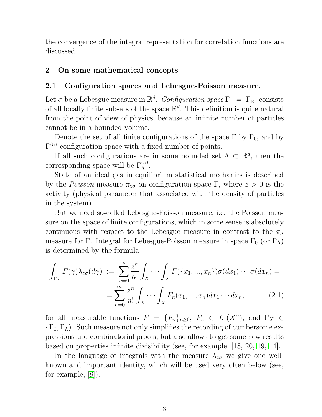the convergence of the integral representation for correlation functions are discussed.

## 2 On some mathematical concepts

## 2.1 Configuration spaces and Lebesgue-Poisson measure.

Let  $\sigma$  be a Lebesgue measure in  $\mathbb{R}^d$ . *Configuration space*  $\Gamma := \Gamma_{\mathbb{R}^d}$  consists of all locally finite subsets of the space  $\mathbb{R}^d$ . This definition is quite natural from the point of view of physics, because an infinite number of particles cannot be in a bounded volume.

Denote the set of all finite configurations of the space  $\Gamma$  by  $\Gamma_0$ , and by  $\Gamma^{(n)}$  configuration space with a fixed number of points.

If all such configurations are in some bounded set  $\Lambda \subset \mathbb{R}^d$ , then the corresponding space will be  $\Gamma_{\Lambda}^{(n)}$ .

State of an ideal gas in equilibrium statistical mechanics is described by the *Poisson* measure  $\pi_{z\sigma}$  on configuration space Γ, where  $z > 0$  is the activity (physical parameter that associated with the density of particles in the system).

But we need so-called Lebesgue-Poisson measure, i.e. the Poisson measure on the space of finite configurations, which in some sense is absolutely continuous with respect to the Lebesgue measure in contrast to the  $\pi_{\sigma}$ measure for Γ. Integral for Lebesgue-Poisson measure in space  $\Gamma_0$  (or  $\Gamma_\Lambda$ ) is determined by the formula:

<span id="page-2-0"></span>
$$
\int_{\Gamma_X} F(\gamma) \lambda_{z\sigma}(d\gamma) := \sum_{n=0}^{\infty} \frac{z^n}{n!} \int_X \cdots \int_X F(\{x_1, ..., x_n\}) \sigma(dx_1) \cdots \sigma(dx_n) =
$$
\n
$$
= \sum_{n=0}^{\infty} \frac{z^n}{n!} \int_X \cdots \int_X F_n(x_1, ..., x_n) dx_1 \cdots dx_n, \tag{2.1}
$$

for all measurable functions  $F = \{F_n\}_{n \geq 0}$ ,  $F_n \in L^1(X^n)$ , and  $\Gamma_X \in$  ${\{\Gamma_0,\Gamma_\Lambda\}}$ . Such measure not only simplifies the recording of cumbersome expressions and combinatorial proofs, but also allows to get some new results based on properties infinite divisibility (see, for example, [\[18,](#page-13-13) [20,](#page-13-14) [19,](#page-13-15) [14\]](#page-13-16).

<span id="page-2-1"></span>In the language of integrals with the measure  $\lambda_{z\sigma}$  we give one wellknown and important identity, which will be used very often below (see, for example, [\[8\]](#page-13-17)).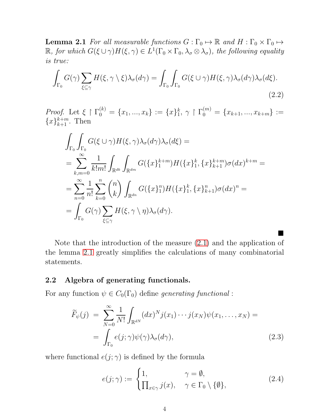**Lemma 2.1** *For all measurable functions*  $G : \Gamma_0 \mapsto \mathbb{R}$  *and*  $H : \Gamma_0 \times \Gamma_0 \mapsto$  $\mathbb{R}$ *, for which*  $G(\xi \cup \gamma)H(\xi, \gamma) \in L^1(\Gamma_0 \times \Gamma_0, \lambda_\sigma \otimes \lambda_\sigma)$ *, the following equality is true:*

$$
\int_{\Gamma_0} G(\gamma) \sum_{\xi \subseteq \gamma} H(\xi, \gamma \setminus \xi) \lambda_{\sigma}(d\gamma) = \int_{\Gamma_0} \int_{\Gamma_0} G(\xi \cup \gamma) H(\xi, \gamma) \lambda_{\sigma}(d\gamma) \lambda_{\sigma}(d\xi).
$$
\n(2.2)

*Proof.* Let  $\xi \restriction \Gamma_0^{(k)} = \{x_1, ..., x_k\} := \{x\}_1^k$  $\mathbf{1}_{1}, \gamma \restriction \Gamma_{0}^{(m)} = \{x_{k+1},...,x_{k+m}\} :=$  ${x}_{k+1}^{k+m}$ . Then

$$
\int_{\Gamma_0} \int_{\Gamma_0} G(\xi \cup \gamma) H(\xi, \gamma) \lambda_{\sigma}(d\gamma) \lambda_{\sigma}(d\xi) =
$$
\n
$$
= \sum_{k,m=0}^{\infty} \frac{1}{k!m!} \int_{\mathbb{R}^{dk}} \int_{\mathbb{R}^{dm}} G(\{x\}_{1}^{k+m}) H(\{x\}_{1}^{k}, \{x\}_{k+1}^{k+m}) \sigma(dx)^{k+m} =
$$
\n
$$
= \sum_{n=0}^{\infty} \frac{1}{n!} \sum_{k=0}^{n} {n \choose k} \int_{\mathbb{R}^{dn}} G(\{x\}_{1}^{n}) H(\{x\}_{1}^{k}, \{x\}_{k+1}^{n}) \sigma(dx)^{n} =
$$
\n
$$
= \int_{\Gamma_0} G(\gamma) \sum_{\xi \subseteq \gamma} H(\xi, \gamma \setminus \eta) \lambda_{\sigma}(d\gamma).
$$

Note that the introduction of the measure [\(2.1\)](#page-2-0) and the application of the lemma [2.1](#page-2-1) greatly simplifies the calculations of many combinatorial statements.

### 2.2 Algebra of generating functionals.

For any function  $\psi \in C_0(\Gamma_0)$  define *generating functional*:

$$
\widetilde{F}_{\psi}(j) = \sum_{N=0}^{\infty} \frac{1}{N!} \int_{\mathbb{R}^{dN}} (dx)^N j(x_1) \cdots j(x_N) \psi(x_1, \dots, x_N) =
$$
\n
$$
= \int_{\Gamma_0} e(j; \gamma) \psi(\gamma) \lambda_{\sigma}(d\gamma), \tag{2.3}
$$

where functional  $e(j; \gamma)$  is defined by the formula

$$
e(j;\gamma) := \begin{cases} 1, & \gamma = \emptyset, \\ \prod_{x \in \gamma} j(x), & \gamma \in \Gamma_0 \setminus \{\emptyset\}, \end{cases}
$$
 (2.4)

<span id="page-3-1"></span><span id="page-3-0"></span>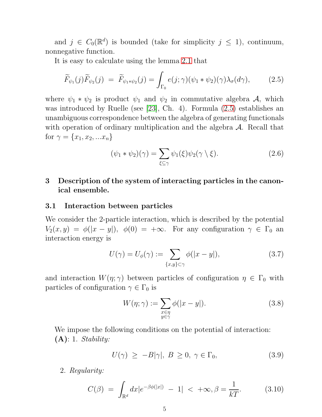and  $j \in C_0(\mathbb{R}^d)$  is bounded (take for simplicity  $j \leq 1$ ), continuum, nonnegative function.

It is easy to calculate using the lemma [2.1](#page-2-1) that

<span id="page-4-0"></span>
$$
\widetilde{F}_{\psi_1}(j)\widetilde{F}_{\psi_2}(j) = \widetilde{F}_{\psi_1 * \psi_2}(j) = \int_{\Gamma_0} e(j;\gamma)(\psi_1 * \psi_2)(\gamma)\lambda_\sigma(d\gamma), \tag{2.5}
$$

where  $\psi_1 * \psi_2$  is product  $\psi_1$  and  $\psi_2$  in commutative algebra A, which was introduced by Ruelle (see [\[23\]](#page-13-1), Ch. 4). Formula [\(2.5\)](#page-4-0) establishes an unambiguous correspondence between the algebra of generating functionals with operation of ordinary multiplication and the algebra  $A$ . Recall that for  $\gamma = \{x_1, x_2, ... x_n\}$ 

$$
(\psi_1 * \psi_2)(\gamma) = \sum_{\xi \subseteq \gamma} \psi_1(\xi) \psi_2(\gamma \setminus \xi).
$$
 (2.6)

## 3 Description of the system of interacting particles in the canonical ensemble.

#### 3.1 Interaction between particles

We consider the 2-particle interaction, which is described by the potential  $V_2(x, y) = \phi(|x - y|), \phi(0) = +\infty$ . For any configuration  $\gamma \in \Gamma_0$  an interaction energy is

$$
U(\gamma) = U_{\phi}(\gamma) := \sum_{\{x,y\} \subset \gamma} \phi(|x - y|), \tag{3.7}
$$

and interaction  $W(\eta; \gamma)$  between particles of configuration  $\eta \in \Gamma_0$  with particles of configuration  $\gamma \in \Gamma_0$  is

$$
W(\eta; \gamma) := \sum_{\substack{x \in \eta \\ y \in \gamma}} \phi(|x - y|). \tag{3.8}
$$

We impose the following conditions on the potential of interaction: (A): 1. *Stability:*

$$
U(\gamma) \ge -B|\gamma|, B \ge 0, \gamma \in \Gamma_0,\tag{3.9}
$$

2. *Regularity:*

$$
C(\beta) = \int_{\mathbb{R}^d} dx |e^{-\beta \phi(|x|)} - 1| < +\infty, \beta = \frac{1}{kT}.
$$
 (3.10)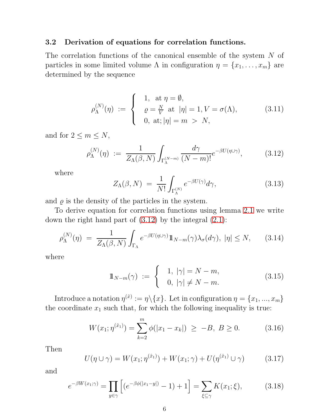## 3.2 Derivation of equations for correlation functions.

The correlation functions of the canonical ensemble of the system N of particles in some limited volume  $\Lambda$  in configuration  $\eta = \{x_1, \ldots, x_m\}$  are determined by the sequence

$$
\rho_{\Lambda}^{(N)}(\eta) := \begin{cases} 1, & \text{at } \eta = \emptyset, \\ \varrho = \frac{N}{V} \text{ at } |\eta| = 1, V = \sigma(\Lambda), \\ 0, & \text{at}; |\eta| = m > N, \end{cases}
$$
(3.11)

and for  $2 \leq m \leq N$ ,

<span id="page-5-0"></span>
$$
\rho_{\Lambda}^{(N)}(\eta) := \frac{1}{Z_{\Lambda}(\beta, N)} \int_{\Gamma_{\Lambda}^{(N-m)}} \frac{d\gamma}{(N-m)!} e^{-\beta U(\eta \cup \gamma)}, \quad (3.12)
$$

where

$$
Z_{\Lambda}(\beta, N) = \frac{1}{N!} \int_{\Gamma_{\Lambda}^{(N)}} e^{-\beta U(\gamma)} d\gamma, \qquad (3.13)
$$

and  $\varrho$  is the density of the particles in the system.

To derive equation for correlation functions using lemma [2.1](#page-2-1) we write down the right hand part of  $(3.12)$  by the integral  $(2.1)$ :

<span id="page-5-1"></span>
$$
\rho_{\Lambda}^{(N)}(\eta) = \frac{1}{Z_{\Lambda}(\beta, N)} \int_{\Gamma_{\Lambda}} e^{-\beta U(\eta \cup \gamma)} 1\!\!1_{N-m}(\gamma) \lambda_{\sigma}(d\gamma), \ |\eta| \le N, \qquad (3.14)
$$

where

$$
\mathbb{1}_{N-m}(\gamma) := \begin{cases} 1, & |\gamma| = N-m, \\ 0, & |\gamma| \neq N-m. \end{cases}
$$
 (3.15)

Introduce a notation  $\eta^{(\hat{x})} := \eta \setminus \{x\}$ . Let in configuration  $\eta = \{x_1, ..., x_m\}$ the coordinate  $x_1$  such that, for which the following inequality is true:

$$
W(x_1; \eta^{(\hat{x}_1)}) = \sum_{k=2}^{m} \phi(|x_1 - x_k|) \ge -B, \ B \ge 0.
$$
 (3.16)

Then

$$
U(\eta \cup \gamma) = W(x_1; \eta^{(\hat{x}_1)}) + W(x_1; \gamma) + U(\eta^{(\hat{x}_1)} \cup \gamma)
$$
 (3.17)

and

$$
e^{-\beta W(x_1;\gamma)} = \prod_{y \in \gamma} \left[ (e^{-\beta \phi(|x_1 - y|)} - 1) + 1 \right] = \sum_{\xi \subseteq \gamma} K(x_1; \xi), \quad (3.18)
$$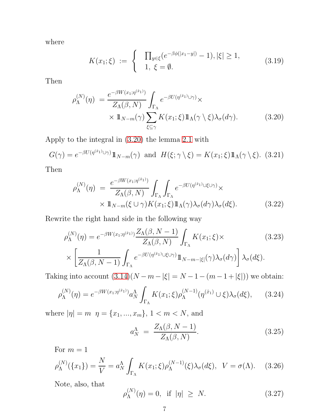where

<span id="page-6-0"></span>
$$
K(x_1;\xi) := \begin{cases} \prod_{y \in \xi} (e^{-\beta \phi(|x_1 - y|)} - 1), |\xi| \ge 1, \\ 1, \xi = \emptyset. \end{cases}
$$
(3.19)

Then

$$
\rho_{\Lambda}^{(N)}(\eta) = \frac{e^{-\beta W(x_1; \eta^{(\hat{x}_1)})}}{Z_{\Lambda}(\beta, N)} \int_{\Gamma_{\Lambda}} e^{-\beta U(\eta^{(\hat{x}_1)} \cup \gamma)} \times \times 1 \mathbb{1}_{N-m}(\gamma) \sum_{\xi \subseteq \gamma} K(x_1; \xi) 1 \mathbb{1}_{\Lambda}(\gamma \setminus \xi) \lambda_{\sigma}(d\gamma).
$$
\n(3.20)

Apply to the integral in [\(3.20\)](#page-6-0) the lemma [2.1](#page-2-1) with

$$
G(\gamma) = e^{-\beta U(\eta^{(\hat{x}_1)} \cup \gamma)} 1\!\!1_{N-m}(\gamma) \text{ and } H(\xi; \gamma \setminus \xi) = K(x_1; \xi) 1\!\!1_{\Lambda}(\gamma \setminus \xi). \tag{3.21}
$$

Then

$$
\rho_{\Lambda}^{(N)}(\eta) = \frac{e^{-\beta W(x_1; \eta^{(\hat{x}_1)})}}{Z_{\Lambda}(\beta, N)} \int_{\Gamma_{\Lambda}} \int_{\Gamma_{\Lambda}} e^{-\beta U(\eta^{(\hat{x}_1)} \cup \xi \cup \gamma)} \times \mathbb{1}_{N-m}(\xi \cup \gamma) K(x_1; \xi) \mathbb{1}_{\Lambda}(\gamma) \lambda_{\sigma}(d\gamma) \lambda_{\sigma}(d\xi).
$$
\n(3.22)

Rewrite the right hand side in the following way

$$
\rho_{\Lambda}^{(N)}(\eta) = e^{-\beta W(x_1; \eta^{(\hat{x}_1)})} \frac{Z_{\Lambda}(\beta, N-1)}{Z_{\Lambda}(\beta, N)} \int_{\Gamma_{\Lambda}} K(x_1; \xi) \times \left[ \frac{1}{Z_{\Lambda}(\beta, N-1)} \int_{\Gamma_{\Lambda}} e^{-\beta U(\eta^{(\hat{x}_1)} \cup \xi \cup \gamma)} 1\!\!1_{N-m-|\xi|}(\gamma) \lambda_{\sigma}(d\gamma) \right] \lambda_{\sigma}(d\xi).
$$
\n(3.23)

Taking into account  $(3.14)(N - m - |\xi| = N - 1 - (m - 1 + |\xi|))$  we obtain:

$$
\rho_{\Lambda}^{(N)}(\eta) = e^{-\beta W(x_1; \eta^{(\hat{x}_1)})} a_N^{\Lambda} \int_{\Gamma_{\Lambda}} K(x_1; \xi) \rho_{\Lambda}^{(N-1)}(\eta^{(\hat{x}_1)} \cup \xi) \lambda_{\sigma}(d\xi), \qquad (3.24)
$$

where  $|\eta| = m \, \eta = \{x_1, ..., x_m\}, \, 1 < m < N$ , and

$$
a_N^{\Lambda} = \frac{Z_{\Lambda}(\beta, N-1)}{Z_{\Lambda}(\beta, N)}.
$$
\n(3.25)

For  $m = 1$ 

$$
\rho_{\Lambda}^{(N)}(\lbrace x_1 \rbrace) = \frac{N}{V} = a_N^{\Lambda} \int_{\Gamma_{\Lambda}} K(x_1; \xi) \rho_{\Lambda}^{(N-1)}(\xi) \lambda_{\sigma}(d\xi), \quad V = \sigma(\Lambda). \tag{3.26}
$$

Note, also, that

$$
\rho_{\Lambda}^{(N)}(\eta) = 0, \quad \text{if } |\eta| \ge N. \tag{3.27}
$$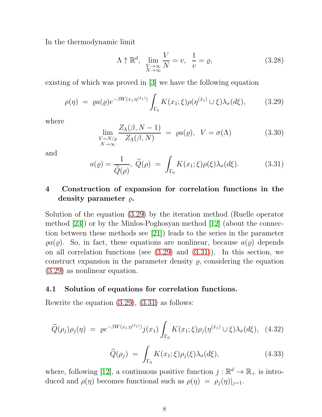In the thermodynamic limit

$$
\Lambda \uparrow \mathbb{R}^d, \quad \lim_{\substack{V \to \infty \\ N \to \infty}} \frac{V}{N} = v, \quad \frac{1}{v} = \varrho,
$$
\n(3.28)

existing of which was proved in [\[3\]](#page-12-3) we have the following equation

<span id="page-7-0"></span>
$$
\rho(\eta) = \varrho a(\varrho) e^{-\beta W(x_1; \eta^{(\hat{x}_1)})} \int_{\Gamma_0} K(x_1; \xi) \rho(\eta^{(\hat{x}_1)} \cup \xi) \lambda_{\sigma}(d\xi), \tag{3.29}
$$

where

$$
\lim_{\substack{V=N/\varrho\\N\to\infty}} \frac{Z_{\Lambda}(\beta, N-1)}{Z_{\Lambda}(\beta, N)} = \varrho a(\varrho), \quad V = \sigma(\Lambda) \tag{3.30}
$$

and

<span id="page-7-1"></span>
$$
a(\varrho) = \frac{1}{\widetilde{Q}(\rho)}, \ \widetilde{Q}(\rho) = \int_{\Gamma_0} K(x_1; \xi) \rho(\xi) \lambda_{\sigma}(d\xi). \tag{3.31}
$$

## 4 Construction of expansion for correlation functions in the density parameter  $\varrho$ .

Solution of the equation [\(3.29\)](#page-7-0) by the iteration method (Ruelle operator method [\[23\]](#page-13-1)) or by the Minlos-Poghosyan method [\[12\]](#page-13-6) (about the connection between these methods see [\[21\]](#page-13-7)) leads to the series in the parameter  $\varrho a(\varrho)$ . So, in fact, these equations are nonlinear, because  $a(\varrho)$  depends on all correlation functions (see [\(3.29\)](#page-7-0) and [\(3.31\)](#page-7-1)). In this section, we construct expansion in the parameter density  $\rho$ , considering the equation [\(3.29\)](#page-7-0) as nonlinear equation.

## 4.1 Solution of equations for correlation functions.

Rewrite the equation [\(3.29\)](#page-7-0), [\(3.31\)](#page-7-1) as follows:

<span id="page-7-2"></span>
$$
\widetilde{Q}(\rho_j)\rho_j(\eta) = \varrho e^{-\beta W(x_1; \eta^{(\hat{x}_1)})} j(x_1) \int_{\Gamma_0} K(x_1; \xi) \rho_j(\eta^{(\hat{x}_1)} \cup \xi) \lambda_\sigma(d\xi), \quad (4.32)
$$

<span id="page-7-3"></span>
$$
\widetilde{Q}(\rho_j) = \int_{\Gamma_0} K(x_1; \xi) \rho_j(\xi) \lambda_\sigma(d\xi), \qquad (4.33)
$$

where, following [\[12\]](#page-13-6), a continuous positive function  $j : \mathbb{R}^d \to \mathbb{R}_+$  is introduced and  $\rho(\eta)$  becomes functional such as  $\rho(\eta) = \rho_j(\eta)|_{j=1}$ .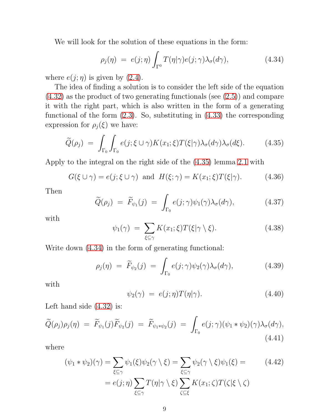We will look for the solution of these equations in the form:

<span id="page-8-1"></span>
$$
\rho_j(\eta) = e(j;\eta) \int_{\Gamma^0} T(\eta|\gamma) e(j;\gamma) \lambda_\sigma(d\gamma), \qquad (4.34)
$$

where  $e(j; \eta)$  is given by [\(2.4\)](#page-3-0).

The idea of finding a solution is to consider the left side of the equation [\(4.32\)](#page-7-2) as the product of two generating functionals (see [\(2.5\)](#page-4-0)) and compare it with the right part, which is also written in the form of a generating functional of the form [\(2.3\)](#page-3-1). So, substituting in [\(4.33\)](#page-7-3) the corresponding expression for  $\rho_j(\xi)$  we have:

<span id="page-8-0"></span>
$$
\widetilde{Q}(\rho_j) = \int_{\Gamma_0} \int_{\Gamma_0} e(j;\xi \cup \gamma) K(x_1;\xi) T(\xi|\gamma) \lambda_{\sigma}(d\gamma) \lambda_{\sigma}(d\xi). \tag{4.35}
$$

Apply to the integral on the right side of the [\(4.35\)](#page-8-0) lemma [2.1](#page-2-1) with

$$
G(\xi \cup \gamma) = e(j; \xi \cup \gamma) \text{ and } H(\xi; \gamma) = K(x_1; \xi)T(\xi|\gamma). \tag{4.36}
$$

Then

$$
\widetilde{Q}(\rho_j) = \widetilde{F}_{\psi_1}(j) = \int_{\Gamma_0} e(j;\gamma)\psi_1(\gamma)\lambda_\sigma(d\gamma), \qquad (4.37)
$$

with

$$
\psi_1(\gamma) = \sum_{\xi \subseteq \gamma} K(x_1; \xi) T(\xi | \gamma \setminus \xi). \tag{4.38}
$$

Write down [\(4.34\)](#page-8-1) in the form of generating functional:

$$
\rho_j(\eta) = \widetilde{F}_{\psi_2}(j) = \int_{\Gamma_0} e(j;\gamma)\psi_2(\gamma)\lambda_\sigma(d\gamma), \qquad (4.39)
$$

with

$$
\psi_2(\gamma) = e(j;\eta)T(\eta|\gamma). \tag{4.40}
$$

Left hand side [\(4.32\)](#page-7-2) is:

<span id="page-8-2"></span>
$$
\widetilde{Q}(\rho_j)\rho_j(\eta) = \widetilde{F}_{\psi_1}(j)\widetilde{F}_{\psi_2}(j) = \widetilde{F}_{\psi_1*\psi_2}(j) = \int_{\Gamma_0} e(j;\gamma)(\psi_1*\psi_2)(\gamma)\lambda_{\sigma}(d\gamma),
$$
\n(4.41)

where

$$
(\psi_1 * \psi_2)(\gamma) = \sum_{\xi \subseteq \gamma} \psi_1(\xi) \psi_2(\gamma \setminus \xi) = \sum_{\xi \subseteq \gamma} \psi_2(\gamma \setminus \xi) \psi_1(\xi) =
$$
\n
$$
= e(j; \eta) \sum_{\xi \subseteq \gamma} T(\eta | \gamma \setminus \xi) \sum_{\zeta \subseteq \xi} K(x_1; \zeta) T(\zeta | \xi \setminus \zeta)
$$
\n(4.42)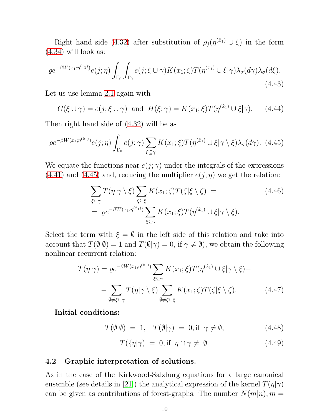Right hand side [\(4.32\)](#page-7-2) after substitution of  $\rho_j(\eta^{(\hat{x}_1)} \cup \xi)$  in the form [\(4.34\)](#page-8-1) will look as:

$$
\varrho e^{-\beta W(x_1; \eta^{(\hat{x}_1)})} e(j; \eta) \int_{\Gamma_0} \int_{\Gamma_0} e(j; \xi \cup \gamma) K(x_1; \xi) T(\eta^{(\hat{x}_1)} \cup \xi | \gamma) \lambda_{\sigma}(d\gamma) \lambda_{\sigma}(d\xi).
$$
\n(4.43)

Let us use lemma [2.1](#page-2-1) again with

$$
G(\xi \cup \gamma) = e(j; \xi \cup \gamma) \text{ and } H(\xi; \gamma) = K(x_1; \xi)T(\eta^{(\hat{x}_1)} \cup \xi | \gamma). \tag{4.44}
$$

Then right hand side of [\(4.32\)](#page-7-2) will be as

<span id="page-9-0"></span>
$$
\varrho e^{-\beta W(x_1; \eta^{(\hat{x}_1)})} e(j; \eta) \int_{\Gamma_0} e(j; \gamma) \sum_{\xi \subseteq \gamma} K(x_1; \xi) T(\eta^{(\hat{x}_1)} \cup \xi | \gamma \setminus \xi) \lambda_{\sigma}(d\gamma). \tag{4.45}
$$

We equate the functions near  $e(j; \gamma)$  under the integrals of the expressions  $(4.41)$  and  $(4.45)$  and, reducing the multiplier  $e(j;\eta)$  we get the relation:

$$
\sum_{\xi \subseteq \gamma} T(\eta | \gamma \setminus \xi) \sum_{\zeta \subseteq \xi} K(x_1; \zeta) T(\zeta | \xi \setminus \zeta) =
$$
\n
$$
= \varrho e^{-\beta W(x_1; \eta^{(\hat{x}_1)})} \sum_{\xi \subseteq \gamma} K(x_1; \xi) T(\eta^{(\hat{x}_1)} \cup \xi | \gamma \setminus \xi).
$$
\n(4.46)

Select the term with  $\xi = \emptyset$  in the left side of this relation and take into account that  $T(\emptyset|\emptyset) = 1$  and  $T(\emptyset|\gamma) = 0$ , if  $\gamma \neq \emptyset$ , we obtain the following nonlinear recurrent relation:

$$
T(\eta|\gamma) = \varrho e^{-\beta W(x_1; \eta^{(\hat{x}_1)})} \sum_{\xi \subseteq \gamma} K(x_1; \xi) T(\eta^{(\hat{x}_1)} \cup \xi|\gamma \setminus \xi) -
$$

$$
- \sum_{\emptyset \neq \xi \subseteq \gamma} T(\eta|\gamma \setminus \xi) \sum_{\emptyset \neq \zeta \subseteq \xi} K(x_1; \zeta) T(\zeta|\xi \setminus \zeta).
$$
(4.47)

Initial conditions:

<span id="page-9-2"></span> $T(\emptyset|\emptyset) = 1$ ,  $T(\emptyset|\gamma) = 0$ , if  $\gamma \neq \emptyset$ , (4.48)

<span id="page-9-3"></span><span id="page-9-1"></span>
$$
T(\{\eta|\gamma) = 0, \text{if } \eta \cap \gamma \neq \emptyset. \tag{4.49}
$$

#### 4.2 Graphic interpretation of solutions.

As in the case of the Kirkwood-Salzburg equations for a large canonical ensemble (see details in [\[21\]](#page-13-7)) the analytical expression of the kernel  $T(\eta|\gamma)$ can be given as contributions of forest-graphs. The number  $N(m|n)$ ,  $m =$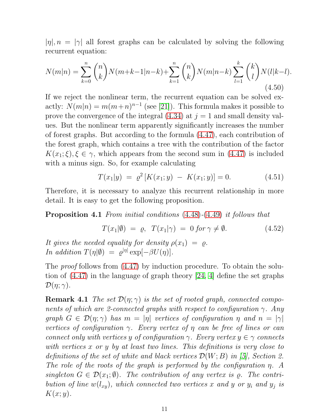$|\eta|, n = |\gamma|$  all forest graphs can be calculated by solving the following recurrent equation:

$$
N(m|n) = \sum_{k=0}^{n} {n \choose k} N(m+k-1|n-k) + \sum_{k=1}^{n} {n \choose k} N(m|n-k) \sum_{l=1}^{k} {k \choose l} N(l|k-l).
$$
\n(4.50)

If we reject the nonlinear term, the recurrent equation can be solved exactly:  $N(m|n) = m(m+n)^{n-1}$  (see [\[21\]](#page-13-7)). This formula makes it possible to prove the convergence of the integral  $(4.34)$  at  $j = 1$  and small density values. But the nonlinear term apparently significantly increases the number of forest graphs. But according to the formula [\(4.47\)](#page-9-1), each contribution of the forest graph, which contains a tree with the contribution of the factor  $K(x_1;\xi), \xi \in \gamma$ , which appears from the second sum in [\(4.47\)](#page-9-1) is included with a minus sign. So, for example calculating

$$
T(x_1|y) = \varrho^2 \left[ K(x_1; y) - K(x_1; y) \right] = 0. \tag{4.51}
$$

Therefore, it is necessary to analyze this recurrent relationship in more detail. It is easy to get the following proposition.

Proposition 4.1 *From initial conditions* [\(4.48\)](#page-9-2)*-*[\(4.49\)](#page-9-3) *it follows that*

$$
T(x_1|\emptyset) = \varrho, \quad T(x_1|\gamma) = 0 \text{ for } \gamma \neq \emptyset. \tag{4.52}
$$

*It gives the needed equality for density*  $\rho(x_1) = \rho$ . *In addition*  $T(\eta|\emptyset) = \varrho^{|\eta|} \exp[-\beta U(\eta)].$ 

The *proof* follows from [\(4.47\)](#page-9-1) by induction procedure. To obtain the solution of [\(4.47\)](#page-9-1) in the language of graph theory [\[24,](#page-13-18) [4\]](#page-12-5) define the set graphs  $\mathcal{D}(\eta;\gamma)$ .

**Remark 4.1** *The set*  $\mathcal{D}(\eta; \gamma)$  *is the set of rooted graph, connected components of which are 2-connected graphs with respect to configuration* γ*. Any graph*  $G \in \mathcal{D}(\eta; \gamma)$  *has*  $m = |\eta|$  *vertices of configuration*  $\eta$  *and*  $n = |\gamma|$ *vertices of configuration* γ*. Every vertex of* η *can be free of lines or can connect only with vertices* y *of configuration*  $\gamma$ *. Every vertex*  $y \in \gamma$  *connects with vertices* x *or* y *by at least two lines. This definitions is very close to definitions of the set of white and black vertices* D(W; B) *in [\[5\]](#page-12-4), Section 2. The role of the roots of the graph is performed by the configuration* η*. A*  $singleton \ G \in \mathcal{D}(x_1;\emptyset)$ *. The contribution of any vertex is*  $\varrho$ *. The contribution of line*  $w(l_{xy})$ , which connected two vertices x and y or  $y_i$  and  $y_j$  is  $K(x; y)$ .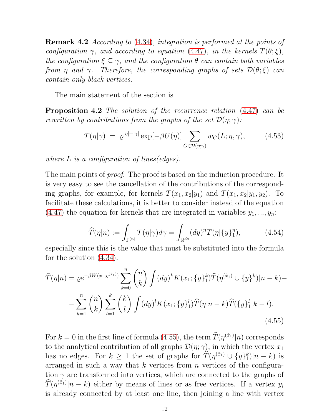Remark 4.2 *According to* [\(4.34\)](#page-8-1)*, integration is performed at the points of configuration*  $\gamma$ *, and according to equation* [\(4.47\)](#page-9-1)*, in the kernels*  $T(\theta; \xi)$ *, the configuration*  $\xi \subseteq \gamma$ *, and the configuration*  $\theta$  *can contain both variables from*  $\eta$  *and*  $\gamma$ *. Therefore, the corresponding graphs of sets*  $\mathcal{D}(\theta;\xi)$  *can contain only black vertices.*

The main statement of the section is

Proposition 4.2 *The solution of the recurrence relation* [\(4.47\)](#page-9-1) *can be rewritten by contributions from the graphs of the set*  $\mathcal{D}(\eta; \gamma)$ *:* 

$$
T(\eta|\gamma) = \varrho^{|\eta|+|\gamma|} \exp[-\beta U(\eta)] \sum_{G \in \mathcal{D}(\eta;\gamma)} w_G(L;\eta,\gamma), \quad (4.53)
$$

*where* L *is a configuration of lines(edges).*

The main points of *proof*. The proof is based on the induction procedure. It is very easy to see the cancellation of the contributions of the corresponding graphs, for example, for kernels  $T(x_1, x_2|y_1)$  and  $T(x_1, x_2|y_1, y_2)$ . To facilitate these calculations, it is better to consider instead of the equation  $(4.47)$  the equation for kernels that are integrated in variables  $y_1, ..., y_n$ :

<span id="page-11-0"></span>
$$
\widehat{T}(\eta|n) := \int_{\Gamma^{(n)}} T(\eta|\gamma) d\gamma = \int_{\mathbb{R}^{dn}} (dy)^n T(\eta|\{y\}_1^n), \tag{4.54}
$$

especially since this is the value that must be substituted into the formula for the solution [\(4.34\)](#page-8-1).

$$
\widehat{T}(\eta|n) = \varrho e^{-\beta W(x_1;\eta^{(\hat{x}_1)})} \sum_{k=0}^n \binom{n}{k} \int (dy)^k K(x_1;\{y\}_1^k) \widehat{T}(\eta^{(\hat{x}_1)} \cup \{y\}_1^k) |n-k| - \sum_{k=1}^n \binom{n}{k} \sum_{l=1}^k \binom{k}{l} \int (dy)^l K(x_1;\{y\}_1^l) \widehat{T}(\eta|n-k) \widehat{T}(\{y\}_1^l|k-l).
$$
\n(4.55)

For  $k = 0$  in the first line of formula [\(4.55\)](#page-11-0), the term  $\hat{T}(\eta^{(\hat{x}_1)}|n)$  corresponds to the analytical contribution of all graphs  $\mathcal{D}(\eta; \gamma)$ , in which the vertex  $x_1$ has no edges. For  $k \geq 1$  the set of graphs for  $\hat{T}(\eta^{(\hat{x}_1)} \cup \{y\}_1^k)$  $_{1}^{k})|n-k)$  is arranged in such a way that  $k$  vertices from  $n$  vertices of the configuration  $\gamma$  are transformed into vertices, which are connected to the graphs of  $\widehat{T}(\eta^{(\hat{x}_1)}|n-k)$  either by means of lines or as free vertices. If a vertex  $y_i$ is already connected by at least one line, then joining a line with vertex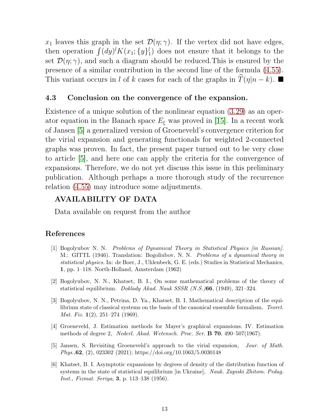$x_1$  leaves this graph in the set  $\mathcal{D}(\eta; \gamma)$ . If the vertex did not have edges, then operation  $\int (dy)^l K(x_1; \{y\})_1^l$  $_{1}^{\prime}$ ) does not ensure that it belongs to the set  $\mathcal{D}(\eta; \gamma)$ , and such a diagram should be reduced. This is ensured by the presence of a similar contribution in the second line of the formula [\(4.55\)](#page-11-0). This variant occurs in l of k cases for each of the graphs in  $\overline{T}(\eta|n - k)$ .

### 4.3 Conclusion on the convergence of the expansion.

Existence of a unique solution of the nonlinear equation [\(3.29\)](#page-7-0) as an operator equation in the Banach space  $E_{\xi}$  was proved in [\[15\]](#page-13-3). In a recent work of Jansen [\[5\]](#page-12-4) a generalized version of Groeneveld's convergence criterion for the virial expansion and generating functionals for weighted 2-connected graphs was proven. In fact, the present paper turned out to be very close to article [\[5\]](#page-12-4), and here one can apply the criteria for the convergence of expansions. Therefore, we do not yet discuss this issue in this preliminary publication. Although perhaps a more thorough study of the recurrence relation [\(4.55\)](#page-11-0) may introduce some adjustments.

## AVAILABILITY OF DATA

Data available on request from the author

### <span id="page-12-0"></span>References

- [1] Bogolyubov N. N. *Problems of Dynamical Theory in Statistical Physics [in Russian]*. M.: GITTL (1946). Translation: Bogoliubov, N. N. *Problems of a dynamical theory in statistical physics.* In: de Boer, J., Uhlenbeck, G. E. (eds.) Studies in Statistical Mechanics, 1, pp. 1–118. North-Holland, Amsterdam (1962)
- <span id="page-12-1"></span>[2] Bogolyubov, N. N., Khatset, B. I., On some mathematical problems of the theory of statistical equilibrium. *Doklady Akad. Nauk SSSR (N.S.)*66, (1949), 321–324.
- <span id="page-12-3"></span>[3] Bogolyubov, N. N., Petrina, D. Ya., Khatset, B. I. Mathematical description of the equilibrium state of classical systems on the basis of the canonical ensemble formalism, *Teoret. Mat. Fiz.* 1(2), 251–274 (1969).
- <span id="page-12-5"></span>[4] Groeneveld, J. Estimation methods for Mayer's graphical expansions. IV. Estimation methods of degree 2, *Nederl. Akad. Wetensch. Proc. Ser.* B 70, 490–507(1967).
- <span id="page-12-4"></span>[5] Jansen, S. Revisiting Groeneveld's approach to the virial expansion, *Jour. of Math. Phys.*,62, (2), 023302 (2021); https://doi.org/10.1063/5.0030148
- <span id="page-12-2"></span>[6] Khatset, B. I. Asymptotic expansions by degrees of density of the distribution function of systems in the state of statistical equilibrium [in Ukraine], *Nauk. Zapiski Zhitom. Pedag. Inst., Fizmat. Seriya*, 3, p. 113–138 (1956).